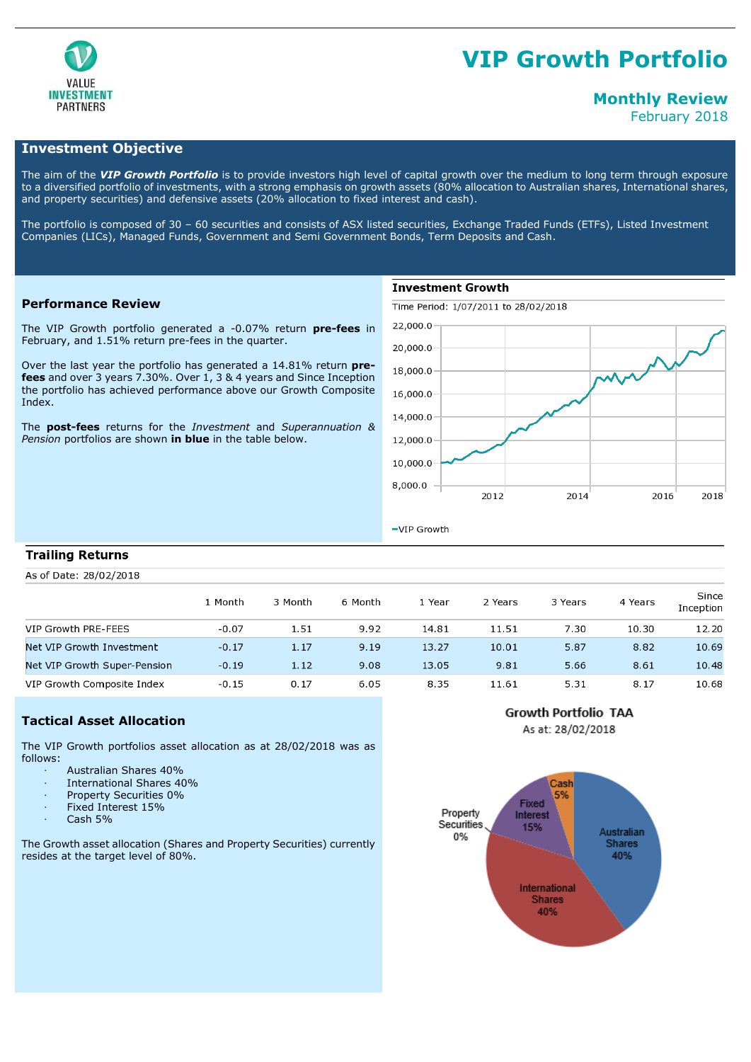

# **VIP Growth Portfolio**

# **Monthly Review**

February 2018

# **Investment Objective**

The aim of the *VIP Growth Portfolio* is to provide investors high level of capital growth over the medium to long term through exposure to a diversified portfolio of investments, with a strong emphasis on growth assets (80% allocation to Australian shares, International shares, and property securities) and defensive assets (20% allocation to fixed interest and cash).

The portfolio is composed of 30 – 60 securities and consists of ASX listed securities, Exchange Traded Funds (ETFs), Listed Investment Companies (LICs), Managed Funds, Government and Semi Government Bonds, Term Deposits and Cash.

### **Performance Review**

The VIP Growth portfolio generated a -0.07% return **pre-fees** in February, and 1.51% return pre-fees in the quarter.

Over the last year the portfolio has generated a 14.81% return **prefees** and over 3 years 7.30%. Over 1, 3 & 4 years and Since Inception the portfolio has achieved performance above our Growth Composite Index.

The **post-fees** returns for the *Investment* and *Superannuation & Pension* portfolios are shown **in blue** in the table below.

# **Investment Growth**

Time Period: 1/07/2011 to 28/02/2018



 $-VIP$  Growth

#### **Trailing Returns**

As of Date: 28/02/2018

|                              | 1 Month | 3 Month | 6 Month | . Year | 2 Years | 3 Years | 4 Years | Since<br>Inception |
|------------------------------|---------|---------|---------|--------|---------|---------|---------|--------------------|
| VIP Growth PRE-FEES          | $-0.07$ | 1.51    | 9.92    | 14.81  | 11.51   | 7.30    | 10.30   | 12.20              |
| Net VIP Growth Investment    | $-0.17$ | 1.17    | 9.19    | 13.27  | 10.01   | 5.87    | 8.82    | 10.69              |
| Net VIP Growth Super-Pension | $-0.19$ | 1.12    | 9.08    | 13.05  | 9.81    | 5.66    | 8.61    | 10.48              |
| VIP Growth Composite Index   | $-0.15$ | 0.17    | 6.05    | 8.35   | 11.61   | 5.31    | 8.17    | 10.68              |

# **Tactical Asset Allocation**

The VIP Growth portfolios asset allocation as at 28/02/2018 was as follows:

- · Australian Shares 40%
- · International Shares 40%
- Property Securities 0%
- Fixed Interest 15%
- Cash 5%

The Growth asset allocation (Shares and Property Securities) currently resides at the target level of 80%.



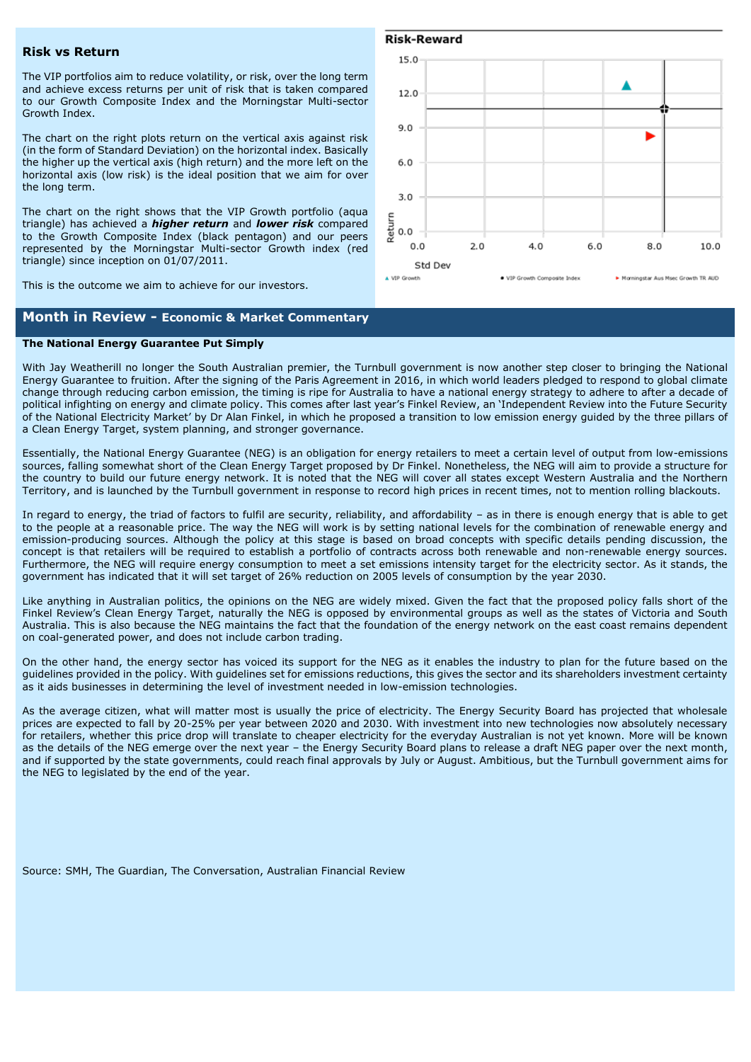#### **Risk vs Return**

The VIP portfolios aim to reduce volatility, or risk, over the long term and achieve excess returns per unit of risk that is taken compared to our Growth Composite Index and the Morningstar Multi-sector Growth Index.

The chart on the right plots return on the vertical axis against risk (in the form of Standard Deviation) on the horizontal index. Basically the higher up the vertical axis (high return) and the more left on the horizontal axis (low risk) is the ideal position that we aim for over the long term.

The chart on the right shows that the VIP Growth portfolio (aqua triangle) has achieved a *higher return* and *lower risk* compared to the Growth Composite Index (black pentagon) and our peers represented by the Morningstar Multi-sector Growth index (red triangle) since inception on 01/07/2011.

This is the outcome we aim to achieve for our investors.

# **Month in Review - Economic & Market Commentary**

#### **The National Energy Guarantee Put Simply**

With Jay Weatherill no longer the South Australian premier, the Turnbull government is now another step closer to bringing the National Energy Guarantee to fruition. After the signing of the Paris Agreement in 2016, in which world leaders pledged to respond to global climate change through reducing carbon emission, the timing is ripe for Australia to have a national energy strategy to adhere to after a decade of political infighting on energy and climate policy. This comes after last year's Finkel Review, an 'Independent Review into the Future Security of the National Electricity Market' by Dr Alan Finkel, in which he proposed a transition to low emission energy guided by the three pillars of a Clean Energy Target, system planning, and stronger governance.

Essentially, the National Energy Guarantee (NEG) is an obligation for energy retailers to meet a certain level of output from low-emissions sources, falling somewhat short of the Clean Energy Target proposed by Dr Finkel. Nonetheless, the NEG will aim to provide a structure for the country to build our future energy network. It is noted that the NEG will cover all states except Western Australia and the Northern Territory, and is launched by the Turnbull government in response to record high prices in recent times, not to mention rolling blackouts.

In regard to energy, the triad of factors to fulfil are security, reliability, and affordability – as in there is enough energy that is able to get to the people at a reasonable price. The way the NEG will work is by setting national levels for the combination of renewable energy and emission-producing sources. Although the policy at this stage is based on broad concepts with specific details pending discussion, the concept is that retailers will be required to establish a portfolio of contracts across both renewable and non-renewable energy sources. Furthermore, the NEG will require energy consumption to meet a set emissions intensity target for the electricity sector. As it stands, the government has indicated that it will set target of 26% reduction on 2005 levels of consumption by the year 2030.

Like anything in Australian politics, the opinions on the NEG are widely mixed. Given the fact that the proposed policy falls short of the Finkel Review's Clean Energy Target, naturally the NEG is opposed by environmental groups as well as the states of Victoria and South Australia. This is also because the NEG maintains the fact that the foundation of the energy network on the east coast remains dependent on coal-generated power, and does not include carbon trading.

On the other hand, the energy sector has voiced its support for the NEG as it enables the industry to plan for the future based on the guidelines provided in the policy. With guidelines set for emissions reductions, this gives the sector and its shareholders investment certainty as it aids businesses in determining the level of investment needed in low-emission technologies.

As the average citizen, what will matter most is usually the price of electricity. The Energy Security Board has projected that wholesale prices are expected to fall by 20-25% per year between 2020 and 2030. With investment into new technologies now absolutely necessary for retailers, whether this price drop will translate to cheaper electricity for the everyday Australian is not yet known. More will be known as the details of the NEG emerge over the next year – the Energy Security Board plans to release a draft NEG paper over the next month, and if supported by the state governments, could reach final approvals by July or August. Ambitious, but the Turnbull government aims for the NEG to legislated by the end of the year.

Source: SMH, The Guardian, The Conversation, Australian Financial Review



#### **Risk-Reward**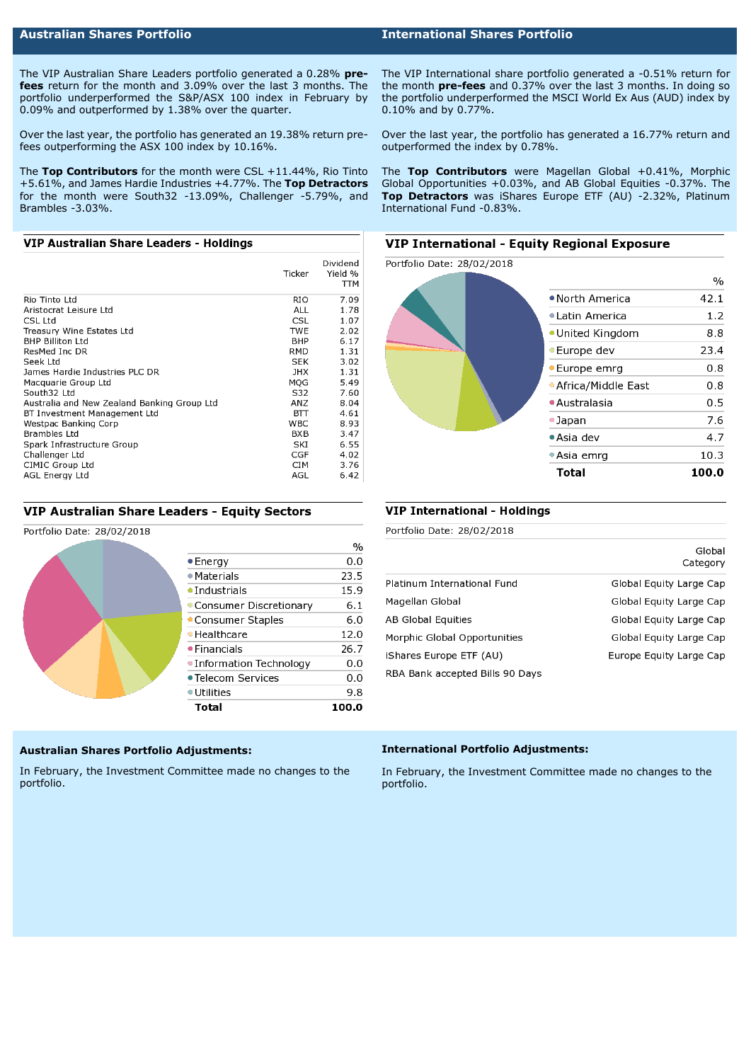# **Australian Shares Portfolio International Shares Portfolio**

The VIP Australian Share Leaders portfolio generated a 0.28% **prefees** return for the month and 3.09% over the last 3 months. The portfolio underperformed the S&P/ASX 100 index in February by 0.09% and outperformed by 1.38% over the quarter.

Over the last year, the portfolio has generated an 19.38% return prefees outperforming the ASX 100 index by 10.16%.

The **Top Contributors** for the month were CSL +11.44%, Rio Tinto +5.61%, and James Hardie Industries +4.77%. The **Top Detractors** for the month were South32 -13.09%, Challenger -5.79%, and Brambles -3.03%.

#### VIP Australian Share Leaders - Holdings

|                                             | Ticker     | Dividend<br>Yield %<br>TТM |
|---------------------------------------------|------------|----------------------------|
| Rio Tinto Ltd                               | RIO        | 7.09                       |
| Aristocrat Leisure Ltd                      | ALL        | 1.78                       |
| CSL Ltd                                     | CSL        | 1.07                       |
| Treasury Wine Estates Ltd                   | <b>TWE</b> | 2.02                       |
| <b>BHP Billiton Ltd</b>                     | BHP        | 6.17                       |
| ResMed Inc DR                               | RMD        | 1.31                       |
| Seek Ltd                                    | SEK        | 3.02                       |
| James Hardie Industries PLC DR              | JHX        | 1.31                       |
| Macquarie Group Ltd                         | MOG        | 5.49                       |
| South32 Ltd                                 | S32        | 7.60                       |
| Australia and New Zealand Banking Group Ltd | ANZ        | 8.04                       |
| BT Investment Management Ltd                | BП         | 4.61                       |
| Westpac Banking Corp                        | <b>WBC</b> | 8.93                       |
| Brambles Ltd                                | BXB        | 3.47                       |
| Spark Infrastructure Group                  | SKI        | 6.55                       |
| Challenger Ltd                              | CGF        | 4.02                       |
| CIMIC Group Ltd                             | CIM        | 3.76                       |
| AGL Energy Ltd                              | AGL        | 6.42                       |

#### VIP Australian Share Leaders - Equity Sectors

#### Portfolio Date: 28/02/2018

|                          | $\frac{0}{0}$ |
|--------------------------|---------------|
| $\bullet$ Energy         | 0.0           |
| $\bullet$ Materials      | 23.5          |
| $\bullet$ Industrials    | 15.9          |
| Consumer Discretionary   | 6.1           |
| • Consumer Staples       | 6.0           |
| • Healthcare             | 12.0          |
| $\bullet$ Financials     | 26.7          |
| • Information Technology | 0.0           |
| • Telecom Services       | 0.0           |
| $\bullet$ Utilities      | 9.8           |
| Total                    | 100.0         |

# **Australian Shares Portfolio Adjustments:**

In February, the Investment Committee made no changes to the portfolio.

The VIP International share portfolio generated a -0.51% return for the month **pre-fees** and 0.37% over the last 3 months. In doing so the portfolio underperformed the MSCI World Ex Aus (AUD) index by 0.10% and by 0.77%.

Over the last year, the portfolio has generated a 16.77% return and outperformed the index by 0.78%.

The **Top Contributors** were Magellan Global +0.41%, Morphic Global Opportunities +0.03%, and AB Global Equities -0.37%. The **Top Detractors** was iShares Europe ETF (AU) -2.32%, Platinum International Fund -0.83%.

# **VIP International - Equity Regional Exposure**



#### **VIP International - Holdings**

Portfolio Date: 28/02/2018

|                                 | Category                |
|---------------------------------|-------------------------|
| Platinum International Fund     | Global Equity Large Cap |
| Magellan Global                 | Global Equity Large Cap |
| AB Global Equities              | Global Equity Large Cap |
| Morphic Global Opportunities    | Global Equity Large Cap |
| iShares Europe ETF (AU)         | Europe Equity Large Cap |
| RBA Bank accepted Bills 90 Days |                         |

Global

#### **International Portfolio Adjustments:**

In February, the Investment Committee made no changes to the portfolio.